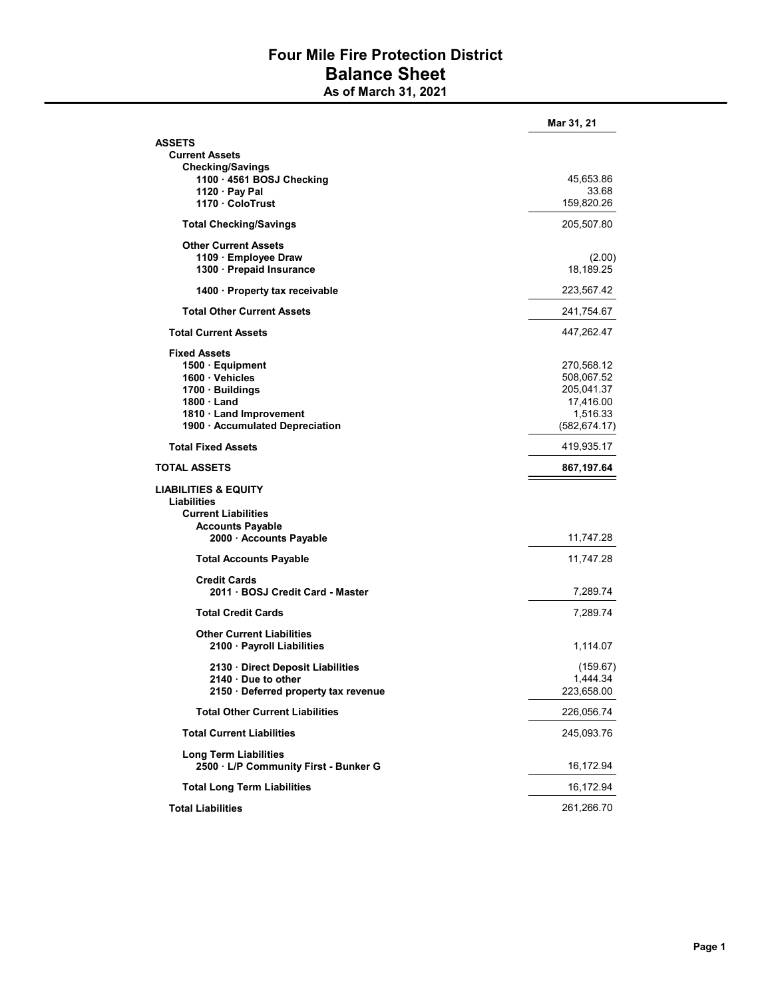## Four Mile Fire Protection District Balance Sheet As of March 31, 2021

|                                                                                                                                                                 | Mar 31, 21                                                                       |
|-----------------------------------------------------------------------------------------------------------------------------------------------------------------|----------------------------------------------------------------------------------|
| ASSETS<br><b>Current Assets</b><br><b>Checking/Savings</b>                                                                                                      |                                                                                  |
| 1100 · 4561 BOSJ Checking<br>1120 $\cdot$ Pay Pal<br>1170 ColoTrust                                                                                             | 45,653.86<br>33.68<br>159,820.26                                                 |
| <b>Total Checking/Savings</b>                                                                                                                                   | 205,507.80                                                                       |
| <b>Other Current Assets</b><br>1109 · Employee Draw<br>1300 · Prepaid Insurance                                                                                 | (2.00)<br>18,189.25                                                              |
| 1400 · Property tax receivable                                                                                                                                  | 223,567.42                                                                       |
| <b>Total Other Current Assets</b>                                                                                                                               | 241,754.67                                                                       |
| <b>Total Current Assets</b>                                                                                                                                     | 447,262.47                                                                       |
| <b>Fixed Assets</b><br>1500 · Equipment<br>1600 · Vehicles<br>1700 · Buildings<br>$1800 \cdot$ Land<br>1810 Land Improvement<br>1900 · Accumulated Depreciation | 270,568.12<br>508,067.52<br>205,041.37<br>17,416.00<br>1,516.33<br>(582, 674.17) |
| <b>Total Fixed Assets</b>                                                                                                                                       | 419,935.17                                                                       |
| <b>TOTAL ASSETS</b>                                                                                                                                             | 867,197.64                                                                       |
| <b>LIABILITIES &amp; EQUITY</b><br>Liabilities<br><b>Current Liabilities</b><br><b>Accounts Payable</b><br>2000 · Accounts Payable                              | 11,747.28                                                                        |
| <b>Total Accounts Payable</b>                                                                                                                                   | 11,747.28                                                                        |
| <b>Credit Cards</b><br>2011 · BOSJ Credit Card - Master                                                                                                         | 7,289.74                                                                         |
| <b>Total Credit Cards</b>                                                                                                                                       | 7,289.74                                                                         |
| <b>Other Current Liabilities</b><br>2100 · Payroll Liabilities                                                                                                  | 1,114.07                                                                         |
| 2130 Direct Deposit Liabilities<br>2140 Due to other<br>2150 · Deferred property tax revenue                                                                    | (159.67)<br>1,444.34<br>223,658.00                                               |
| <b>Total Other Current Liabilities</b>                                                                                                                          | 226,056.74                                                                       |
| <b>Total Current Liabilities</b>                                                                                                                                | 245,093.76                                                                       |
| <b>Long Term Liabilities</b><br>2500 · L/P Community First - Bunker G                                                                                           | 16,172.94                                                                        |
| <b>Total Long Term Liabilities</b>                                                                                                                              | 16,172.94                                                                        |
| <b>Total Liabilities</b>                                                                                                                                        | 261,266.70                                                                       |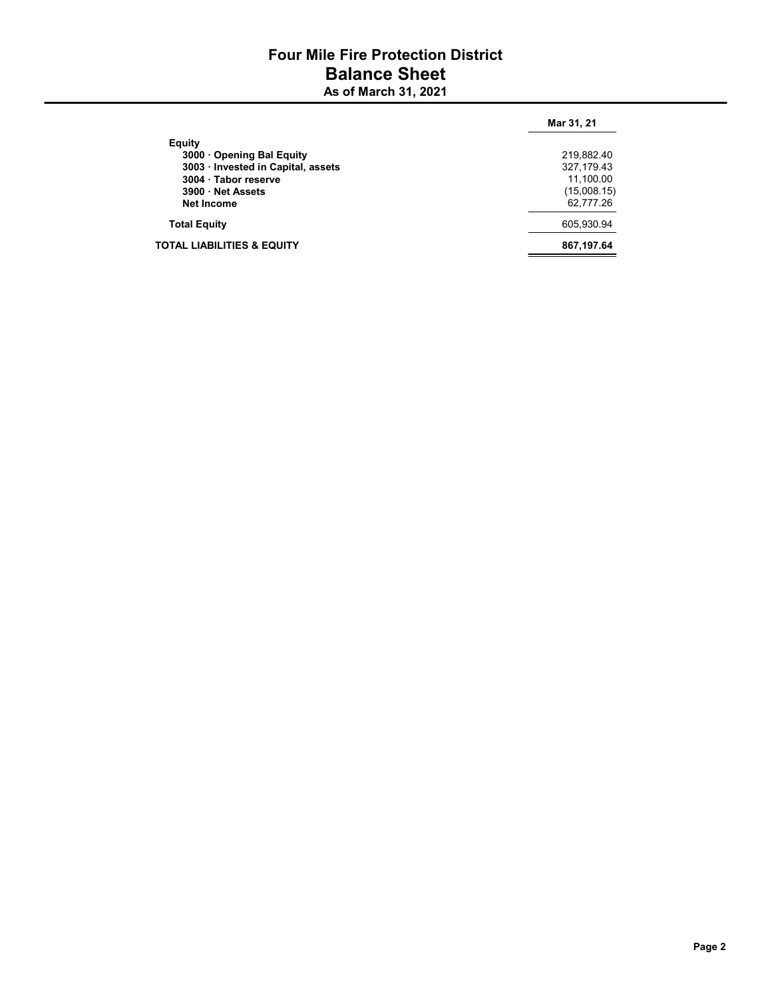## Four Mile Fire Protection District Balance Sheet As of March 31, 2021

|                                       | Mar 31, 21  |
|---------------------------------------|-------------|
| Equity                                |             |
| 3000 Opening Bal Equity               | 219,882.40  |
| 3003 · Invested in Capital, assets    | 327.179.43  |
| 3004 · Tabor reserve                  | 11.100.00   |
| 3900 · Net Assets                     | (15,008.15) |
| <b>Net Income</b>                     | 62,777.26   |
| <b>Total Equity</b>                   | 605.930.94  |
| <b>TOTAL LIABILITIES &amp; EQUITY</b> | 867,197.64  |